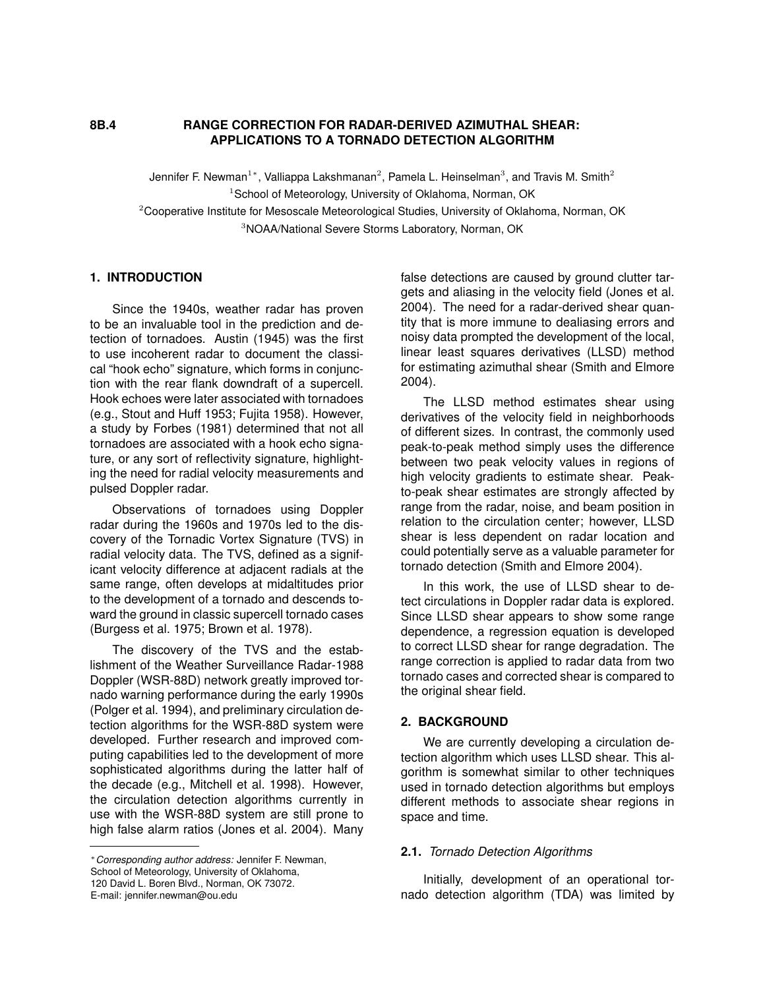#### **8B.4 RANGE CORRECTION FOR RADAR-DERIVED AZIMUTHAL SHEAR: APPLICATIONS TO A TORNADO DETECTION ALGORITHM**

Jennifer F. Newman $^{1*}$ , Valliappa Lakshmanan $^{2}$ , Pamela L. Heinselman $^{3}$ , and Travis M. Smith $^{2}$  $1$ School of Meteorology, University of Oklahoma, Norman, OK <sup>2</sup>Cooperative Institute for Mesoscale Meteorological Studies, University of Oklahoma, Norman, OK <sup>3</sup>NOAA/National Severe Storms Laboratory, Norman, OK

#### **1. INTRODUCTION**

Since the 1940s, weather radar has proven to be an invaluable tool in the prediction and detection of tornadoes. Austin (1945) was the first to use incoherent radar to document the classical "hook echo" signature, which forms in conjunction with the rear flank downdraft of a supercell. Hook echoes were later associated with tornadoes (e.g., Stout and Huff 1953; Fujita 1958). However, a study by Forbes (1981) determined that not all tornadoes are associated with a hook echo signature, or any sort of reflectivity signature, highlighting the need for radial velocity measurements and pulsed Doppler radar.

Observations of tornadoes using Doppler radar during the 1960s and 1970s led to the discovery of the Tornadic Vortex Signature (TVS) in radial velocity data. The TVS, defined as a significant velocity difference at adjacent radials at the same range, often develops at midaltitudes prior to the development of a tornado and descends toward the ground in classic supercell tornado cases (Burgess et al. 1975; Brown et al. 1978).

The discovery of the TVS and the establishment of the Weather Surveillance Radar-1988 Doppler (WSR-88D) network greatly improved tornado warning performance during the early 1990s (Polger et al. 1994), and preliminary circulation detection algorithms for the WSR-88D system were developed. Further research and improved computing capabilities led to the development of more sophisticated algorithms during the latter half of the decade (e.g., Mitchell et al. 1998). However, the circulation detection algorithms currently in use with the WSR-88D system are still prone to high false alarm ratios (Jones et al. 2004). Many

E-mail: jennifer.newman@ou.edu

false detections are caused by ground clutter targets and aliasing in the velocity field (Jones et al. 2004). The need for a radar-derived shear quantity that is more immune to dealiasing errors and noisy data prompted the development of the local, linear least squares derivatives (LLSD) method for estimating azimuthal shear (Smith and Elmore 2004).

The LLSD method estimates shear using derivatives of the velocity field in neighborhoods of different sizes. In contrast, the commonly used peak-to-peak method simply uses the difference between two peak velocity values in regions of high velocity gradients to estimate shear. Peakto-peak shear estimates are strongly affected by range from the radar, noise, and beam position in relation to the circulation center; however, LLSD shear is less dependent on radar location and could potentially serve as a valuable parameter for tornado detection (Smith and Elmore 2004).

In this work, the use of LLSD shear to detect circulations in Doppler radar data is explored. Since LLSD shear appears to show some range dependence, a regression equation is developed to correct LLSD shear for range degradation. The range correction is applied to radar data from two tornado cases and corrected shear is compared to the original shear field.

#### **2. BACKGROUND**

We are currently developing a circulation detection algorithm which uses LLSD shear. This algorithm is somewhat similar to other techniques used in tornado detection algorithms but employs different methods to associate shear regions in space and time.

#### **2.1.** *Tornado Detection Algorithms*

Initially, development of an operational tornado detection algorithm (TDA) was limited by

<sup>∗</sup>*Corresponding author address:* Jennifer F. Newman, School of Meteorology, University of Oklahoma,

<sup>120</sup> David L. Boren Blvd., Norman, OK 73072.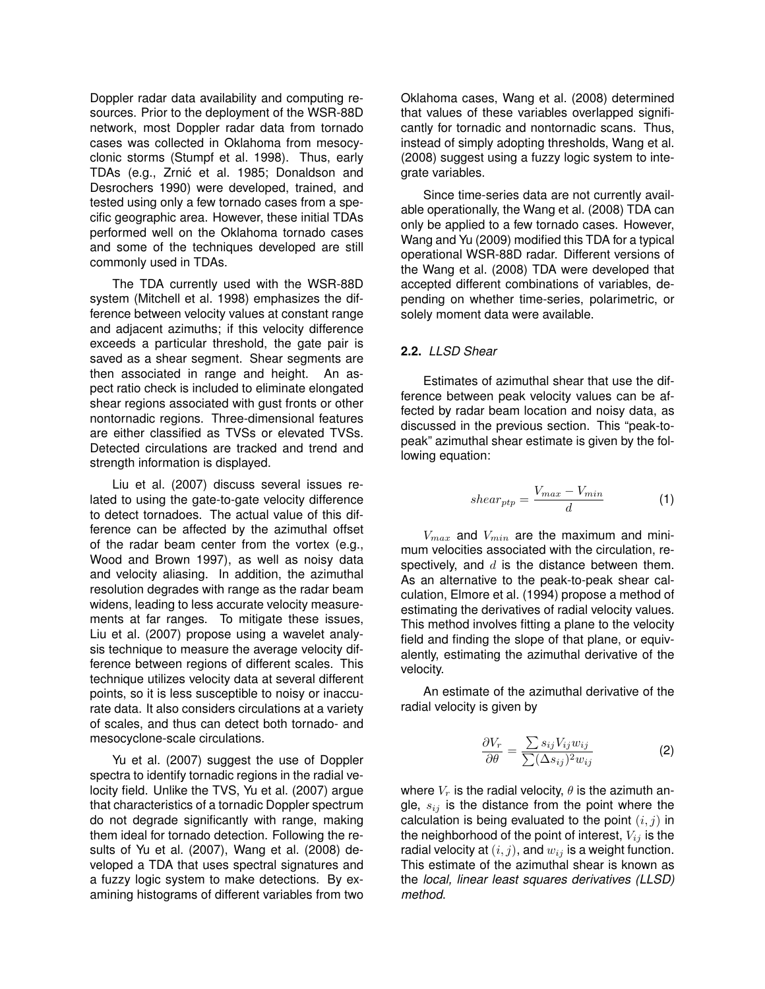Doppler radar data availability and computing resources. Prior to the deployment of the WSR-88D network, most Doppler radar data from tornado cases was collected in Oklahoma from mesocyclonic storms (Stumpf et al. 1998). Thus, early TDAs (e.g., Zrnić et al. 1985; Donaldson and Desrochers 1990) were developed, trained, and tested using only a few tornado cases from a specific geographic area. However, these initial TDAs performed well on the Oklahoma tornado cases and some of the techniques developed are still commonly used in TDAs.

The TDA currently used with the WSR-88D system (Mitchell et al. 1998) emphasizes the difference between velocity values at constant range and adjacent azimuths; if this velocity difference exceeds a particular threshold, the gate pair is saved as a shear segment. Shear segments are then associated in range and height. An aspect ratio check is included to eliminate elongated shear regions associated with gust fronts or other nontornadic regions. Three-dimensional features are either classified as TVSs or elevated TVSs. Detected circulations are tracked and trend and strength information is displayed.

Liu et al. (2007) discuss several issues related to using the gate-to-gate velocity difference to detect tornadoes. The actual value of this difference can be affected by the azimuthal offset of the radar beam center from the vortex (e.g., Wood and Brown 1997), as well as noisy data and velocity aliasing. In addition, the azimuthal resolution degrades with range as the radar beam widens, leading to less accurate velocity measurements at far ranges. To mitigate these issues, Liu et al. (2007) propose using a wavelet analysis technique to measure the average velocity difference between regions of different scales. This technique utilizes velocity data at several different points, so it is less susceptible to noisy or inaccurate data. It also considers circulations at a variety of scales, and thus can detect both tornado- and mesocyclone-scale circulations.

Yu et al. (2007) suggest the use of Doppler spectra to identify tornadic regions in the radial velocity field. Unlike the TVS, Yu et al. (2007) argue that characteristics of a tornadic Doppler spectrum do not degrade significantly with range, making them ideal for tornado detection. Following the results of Yu et al. (2007), Wang et al. (2008) developed a TDA that uses spectral signatures and a fuzzy logic system to make detections. By examining histograms of different variables from two

Oklahoma cases, Wang et al. (2008) determined that values of these variables overlapped significantly for tornadic and nontornadic scans. Thus, instead of simply adopting thresholds, Wang et al. (2008) suggest using a fuzzy logic system to integrate variables.

Since time-series data are not currently available operationally, the Wang et al. (2008) TDA can only be applied to a few tornado cases. However, Wang and Yu (2009) modified this TDA for a typical operational WSR-88D radar. Different versions of the Wang et al. (2008) TDA were developed that accepted different combinations of variables, depending on whether time-series, polarimetric, or solely moment data were available.

# **2.2.** *LLSD Shear*

Estimates of azimuthal shear that use the difference between peak velocity values can be affected by radar beam location and noisy data, as discussed in the previous section. This "peak-topeak" azimuthal shear estimate is given by the following equation:

$$
shear_{ptp} = \frac{V_{max} - V_{min}}{d} \tag{1}
$$

 $V_{max}$  and  $V_{min}$  are the maximum and minimum velocities associated with the circulation, respectively, and  $d$  is the distance between them. As an alternative to the peak-to-peak shear calculation, Elmore et al. (1994) propose a method of estimating the derivatives of radial velocity values. This method involves fitting a plane to the velocity field and finding the slope of that plane, or equivalently, estimating the azimuthal derivative of the velocity.

An estimate of the azimuthal derivative of the radial velocity is given by

$$
\frac{\partial V_r}{\partial \theta} = \frac{\sum s_{ij} V_{ij} w_{ij}}{\sum (\Delta s_{ij})^2 w_{ij}} \tag{2}
$$

where  $V_r$  is the radial velocity,  $\theta$  is the azimuth angle,  $s_{ij}$  is the distance from the point where the calculation is being evaluated to the point  $(i, j)$  in the neighborhood of the point of interest,  $V_{ij}$  is the radial velocity at  $(i, j)$ , and  $w_{ij}$  is a weight function. This estimate of the azimuthal shear is known as the *local, linear least squares derivatives (LLSD) method*.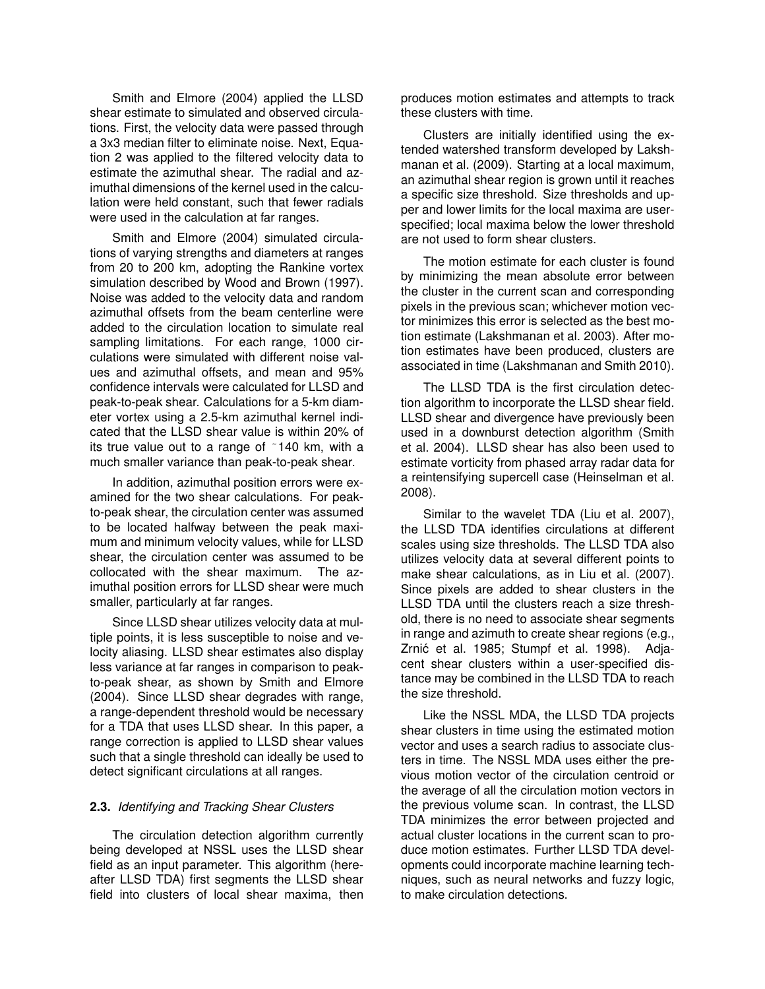Smith and Elmore (2004) applied the LLSD shear estimate to simulated and observed circulations. First, the velocity data were passed through a 3x3 median filter to eliminate noise. Next, Equation 2 was applied to the filtered velocity data to estimate the azimuthal shear. The radial and azimuthal dimensions of the kernel used in the calculation were held constant, such that fewer radials were used in the calculation at far ranges.

Smith and Elmore (2004) simulated circulations of varying strengths and diameters at ranges from 20 to 200 km, adopting the Rankine vortex simulation described by Wood and Brown (1997). Noise was added to the velocity data and random azimuthal offsets from the beam centerline were added to the circulation location to simulate real sampling limitations. For each range, 1000 circulations were simulated with different noise values and azimuthal offsets, and mean and 95% confidence intervals were calculated for LLSD and peak-to-peak shear. Calculations for a 5-km diameter vortex using a 2.5-km azimuthal kernel indicated that the LLSD shear value is within 20% of its true value out to a range of ˜140 km, with a much smaller variance than peak-to-peak shear.

In addition, azimuthal position errors were examined for the two shear calculations. For peakto-peak shear, the circulation center was assumed to be located halfway between the peak maximum and minimum velocity values, while for LLSD shear, the circulation center was assumed to be collocated with the shear maximum. The azimuthal position errors for LLSD shear were much smaller, particularly at far ranges.

Since LLSD shear utilizes velocity data at multiple points, it is less susceptible to noise and velocity aliasing. LLSD shear estimates also display less variance at far ranges in comparison to peakto-peak shear, as shown by Smith and Elmore (2004). Since LLSD shear degrades with range, a range-dependent threshold would be necessary for a TDA that uses LLSD shear. In this paper, a range correction is applied to LLSD shear values such that a single threshold can ideally be used to detect significant circulations at all ranges.

# **2.3.** *Identifying and Tracking Shear Clusters*

The circulation detection algorithm currently being developed at NSSL uses the LLSD shear field as an input parameter. This algorithm (hereafter LLSD TDA) first segments the LLSD shear field into clusters of local shear maxima, then

produces motion estimates and attempts to track these clusters with time.

Clusters are initially identified using the extended watershed transform developed by Lakshmanan et al. (2009). Starting at a local maximum, an azimuthal shear region is grown until it reaches a specific size threshold. Size thresholds and upper and lower limits for the local maxima are userspecified; local maxima below the lower threshold are not used to form shear clusters.

The motion estimate for each cluster is found by minimizing the mean absolute error between the cluster in the current scan and corresponding pixels in the previous scan; whichever motion vector minimizes this error is selected as the best motion estimate (Lakshmanan et al. 2003). After motion estimates have been produced, clusters are associated in time (Lakshmanan and Smith 2010).

The LLSD TDA is the first circulation detection algorithm to incorporate the LLSD shear field. LLSD shear and divergence have previously been used in a downburst detection algorithm (Smith et al. 2004). LLSD shear has also been used to estimate vorticity from phased array radar data for a reintensifying supercell case (Heinselman et al. 2008).

Similar to the wavelet TDA (Liu et al. 2007), the LLSD TDA identifies circulations at different scales using size thresholds. The LLSD TDA also utilizes velocity data at several different points to make shear calculations, as in Liu et al. (2007). Since pixels are added to shear clusters in the LLSD TDA until the clusters reach a size threshold, there is no need to associate shear segments in range and azimuth to create shear regions (e.g., Zrnić et al. 1985; Stumpf et al. 1998). Adjacent shear clusters within a user-specified distance may be combined in the LLSD TDA to reach the size threshold.

Like the NSSL MDA, the LLSD TDA projects shear clusters in time using the estimated motion vector and uses a search radius to associate clusters in time. The NSSL MDA uses either the previous motion vector of the circulation centroid or the average of all the circulation motion vectors in the previous volume scan. In contrast, the LLSD TDA minimizes the error between projected and actual cluster locations in the current scan to produce motion estimates. Further LLSD TDA developments could incorporate machine learning techniques, such as neural networks and fuzzy logic, to make circulation detections.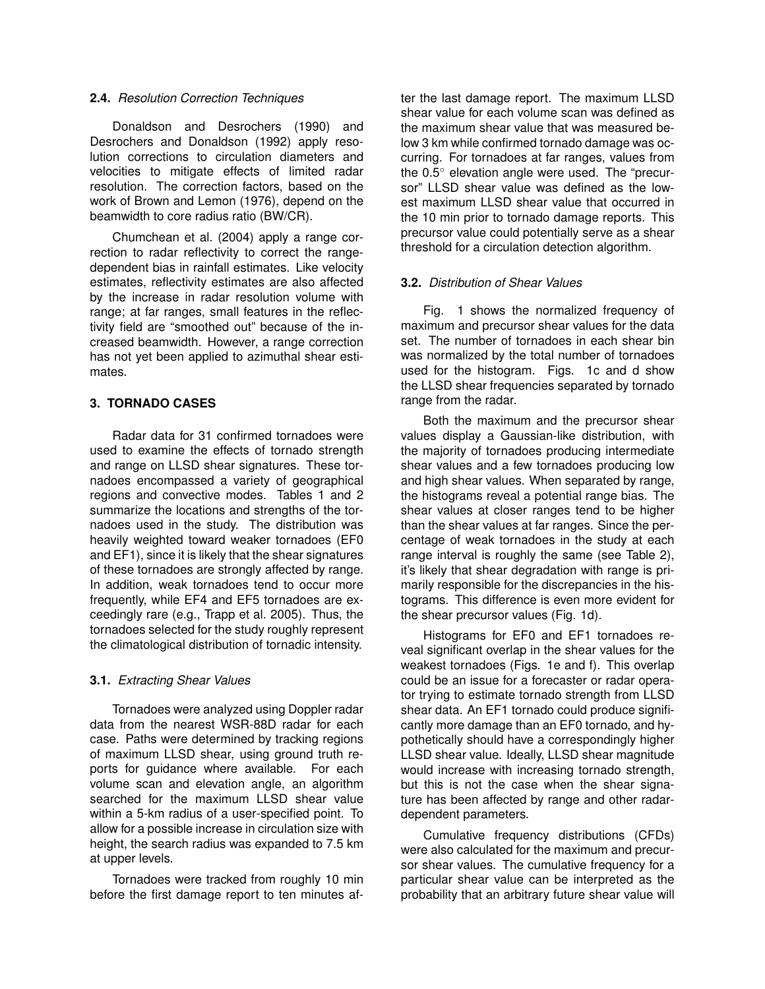#### **2.4.** *Resolution Correction Techniques*

Donaldson and Desrochers (1990) and Desrochers and Donaldson (1992) apply resolution corrections to circulation diameters and velocities to mitigate effects of limited radar resolution. The correction factors, based on the work of Brown and Lemon (1976), depend on the beamwidth to core radius ratio (BW/CR).

Chumchean et al. (2004) apply a range correction to radar reflectivity to correct the rangedependent bias in rainfall estimates. Like velocity estimates, reflectivity estimates are also affected by the increase in radar resolution volume with range; at far ranges, small features in the reflectivity field are "smoothed out" because of the increased beamwidth. However, a range correction has not yet been applied to azimuthal shear estimates.

# **3. TORNADO CASES**

Radar data for 31 confirmed tornadoes were used to examine the effects of tornado strength and range on LLSD shear signatures. These tornadoes encompassed a variety of geographical regions and convective modes. Tables 1 and 2 summarize the locations and strengths of the tornadoes used in the study. The distribution was heavily weighted toward weaker tornadoes (EF0 and EF1), since it is likely that the shear signatures of these tornadoes are strongly affected by range. In addition, weak tornadoes tend to occur more frequently, while EF4 and EF5 tornadoes are exceedingly rare (e.g., Trapp et al. 2005). Thus, the tornadoes selected for the study roughly represent the climatological distribution of tornadic intensity.

# **3.1.** *Extracting Shear Values*

Tornadoes were analyzed using Doppler radar data from the nearest WSR-88D radar for each case. Paths were determined by tracking regions of maximum LLSD shear, using ground truth reports for guidance where available. For each volume scan and elevation angle, an algorithm searched for the maximum LLSD shear value within a 5-km radius of a user-specified point. To allow for a possible increase in circulation size with height, the search radius was expanded to 7.5 km at upper levels.

Tornadoes were tracked from roughly 10 min before the first damage report to ten minutes after the last damage report. The maximum LLSD shear value for each volume scan was defined as the maximum shear value that was measured below 3 km while confirmed tornado damage was occurring. For tornadoes at far ranges, values from the 0.5◦ elevation angle were used. The "precursor" LLSD shear value was defined as the lowest maximum LLSD shear value that occurred in the 10 min prior to tornado damage reports. This precursor value could potentially serve as a shear threshold for a circulation detection algorithm.

# **3.2.** *Distribution of Shear Values*

Fig. 1 shows the normalized frequency of maximum and precursor shear values for the data set. The number of tornadoes in each shear bin was normalized by the total number of tornadoes used for the histogram. Figs. 1c and d show the LLSD shear frequencies separated by tornado range from the radar.

Both the maximum and the precursor shear values display a Gaussian-like distribution, with the majority of tornadoes producing intermediate shear values and a few tornadoes producing low and high shear values. When separated by range, the histograms reveal a potential range bias. The shear values at closer ranges tend to be higher than the shear values at far ranges. Since the percentage of weak tornadoes in the study at each range interval is roughly the same (see Table 2), it's likely that shear degradation with range is primarily responsible for the discrepancies in the histograms. This difference is even more evident for the shear precursor values (Fig. 1d).

Histograms for EF0 and EF1 tornadoes reveal significant overlap in the shear values for the weakest tornadoes (Figs. 1e and f). This overlap could be an issue for a forecaster or radar operator trying to estimate tornado strength from LLSD shear data. An EF1 tornado could produce significantly more damage than an EF0 tornado, and hypothetically should have a correspondingly higher LLSD shear value. Ideally, LLSD shear magnitude would increase with increasing tornado strength, but this is not the case when the shear signature has been affected by range and other radardependent parameters.

Cumulative frequency distributions (CFDs) were also calculated for the maximum and precursor shear values. The cumulative frequency for a particular shear value can be interpreted as the probability that an arbitrary future shear value will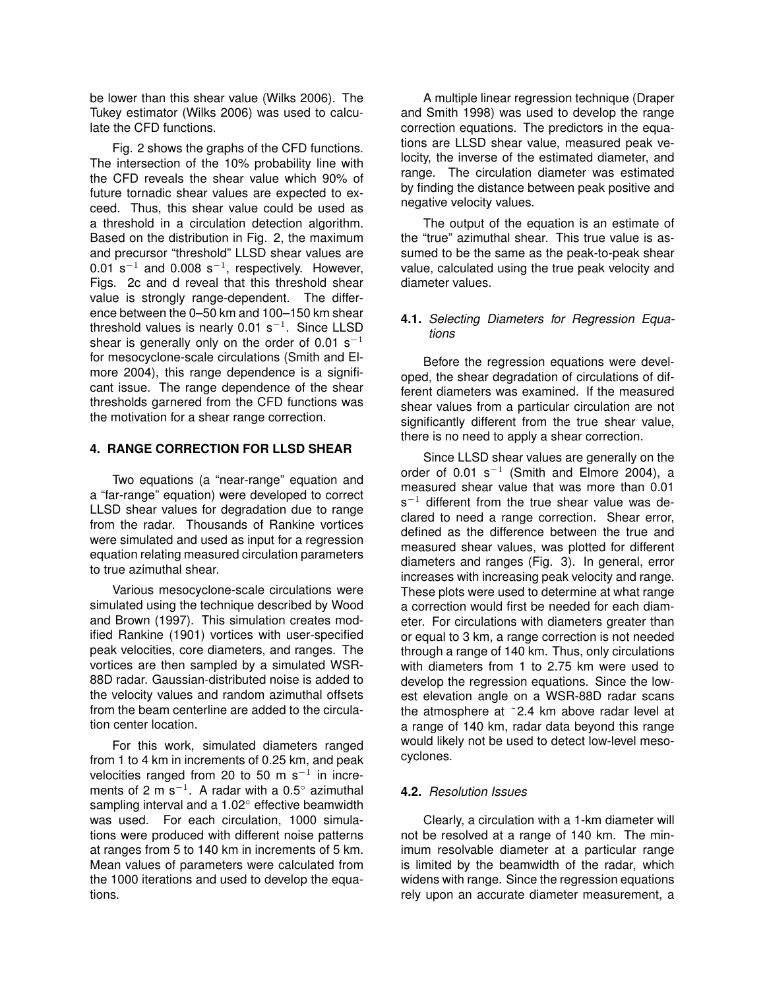be lower than this shear value (Wilks 2006). The Tukey estimator (Wilks 2006) was used to calculate the CFD functions.

Fig. 2 shows the graphs of the CFD functions. The intersection of the 10% probability line with the CFD reveals the shear value which 90% of future tornadic shear values are expected to exceed. Thus, this shear value could be used as a threshold in a circulation detection algorithm. Based on the distribution in Fig. 2, the maximum and precursor "threshold" LLSD shear values are 0.01 s<sup>-1</sup> and 0.008 s<sup>-1</sup>, respectively. However, Figs. 2c and d reveal that this threshold shear value is strongly range-dependent. The difference between the 0–50 km and 100–150 km shear threshold values is nearly 0.01 s<sup>-1</sup>. Since LLSD shear is generally only on the order of 0.01 s<sup>-1</sup> for mesocyclone-scale circulations (Smith and Elmore 2004), this range dependence is a significant issue. The range dependence of the shear thresholds garnered from the CFD functions was the motivation for a shear range correction.

# **4. RANGE CORRECTION FOR LLSD SHEAR**

Two equations (a "near-range" equation and a "far-range" equation) were developed to correct LLSD shear values for degradation due to range from the radar. Thousands of Rankine vortices were simulated and used as input for a regression equation relating measured circulation parameters to true azimuthal shear.

Various mesocyclone-scale circulations were simulated using the technique described by Wood and Brown (1997). This simulation creates modified Rankine (1901) vortices with user-specified peak velocities, core diameters, and ranges. The vortices are then sampled by a simulated WSR-88D radar. Gaussian-distributed noise is added to the velocity values and random azimuthal offsets from the beam centerline are added to the circulation center location.

For this work, simulated diameters ranged from 1 to 4 km in increments of 0.25 km, and peak velocities ranged from 20 to 50 m s<sup>-1</sup> in increments of 2 m s<sup>-1</sup>. A radar with a 0.5 $^{\circ}$  azimuthal sampling interval and a 1.02<sup>°</sup> effective beamwidth was used. For each circulation, 1000 simulations were produced with different noise patterns at ranges from 5 to 140 km in increments of 5 km. Mean values of parameters were calculated from the 1000 iterations and used to develop the equations.

A multiple linear regression technique (Draper and Smith 1998) was used to develop the range correction equations. The predictors in the equations are LLSD shear value, measured peak velocity, the inverse of the estimated diameter, and range. The circulation diameter was estimated by finding the distance between peak positive and negative velocity values.

The output of the equation is an estimate of the "true" azimuthal shear. This true value is assumed to be the same as the peak-to-peak shear value, calculated using the true peak velocity and diameter values.

# **4.1.** *Selecting Diameters for Regression Equations*

Before the regression equations were developed, the shear degradation of circulations of different diameters was examined. If the measured shear values from a particular circulation are not significantly different from the true shear value. there is no need to apply a shear correction.

Since LLSD shear values are generally on the order of 0.01 s<sup>-1</sup> (Smith and Elmore 2004), a measured shear value that was more than 0.01  $s^{-1}$  different from the true shear value was declared to need a range correction. Shear error, defined as the difference between the true and measured shear values, was plotted for different diameters and ranges (Fig. 3). In general, error increases with increasing peak velocity and range. These plots were used to determine at what range a correction would first be needed for each diameter. For circulations with diameters greater than or equal to 3 km, a range correction is not needed through a range of 140 km. Thus, only circulations with diameters from 1 to 2.75 km were used to develop the regression equations. Since the lowest elevation angle on a WSR-88D radar scans the atmosphere at ˜2.4 km above radar level at a range of 140 km, radar data beyond this range would likely not be used to detect low-level mesocyclones.

# **4.2.** *Resolution Issues*

Clearly, a circulation with a 1-km diameter will not be resolved at a range of 140 km. The minimum resolvable diameter at a particular range is limited by the beamwidth of the radar, which widens with range. Since the regression equations rely upon an accurate diameter measurement, a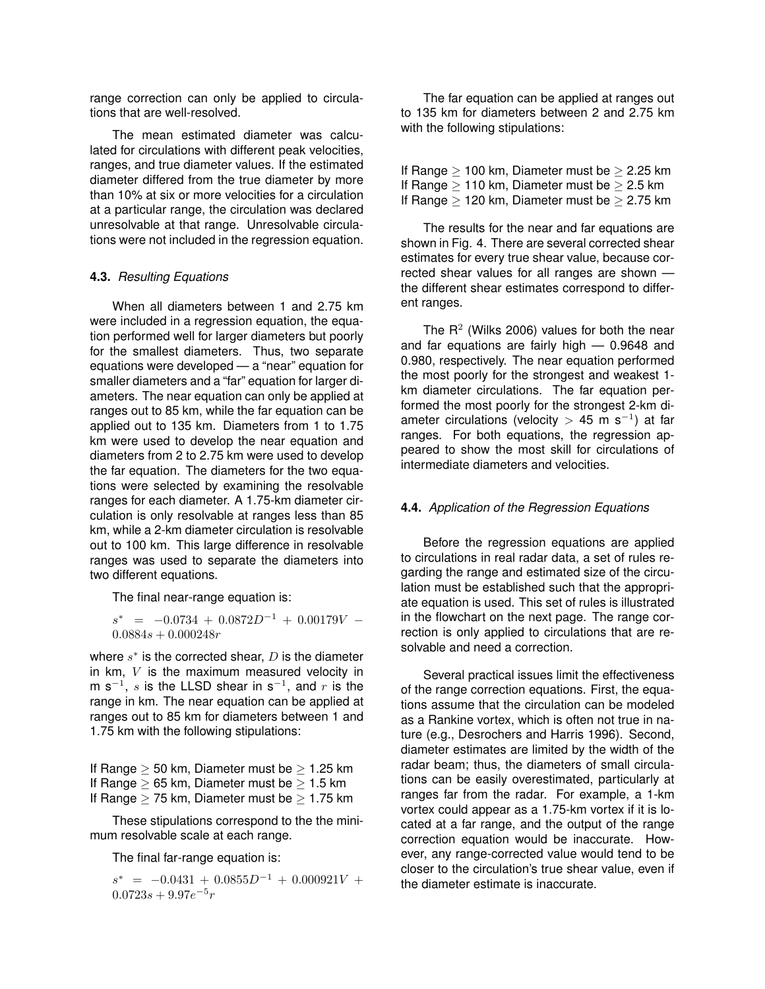range correction can only be applied to circulations that are well-resolved.

The mean estimated diameter was calculated for circulations with different peak velocities, ranges, and true diameter values. If the estimated diameter differed from the true diameter by more than 10% at six or more velocities for a circulation at a particular range, the circulation was declared unresolvable at that range. Unresolvable circulations were not included in the regression equation.

#### **4.3.** *Resulting Equations*

When all diameters between 1 and 2.75 km were included in a regression equation, the equation performed well for larger diameters but poorly for the smallest diameters. Thus, two separate equations were developed — a "near" equation for smaller diameters and a "far" equation for larger diameters. The near equation can only be applied at ranges out to 85 km, while the far equation can be applied out to 135 km. Diameters from 1 to 1.75 km were used to develop the near equation and diameters from 2 to 2.75 km were used to develop the far equation. The diameters for the two equations were selected by examining the resolvable ranges for each diameter. A 1.75-km diameter circulation is only resolvable at ranges less than 85 km, while a 2-km diameter circulation is resolvable out to 100 km. This large difference in resolvable ranges was used to separate the diameters into two different equations.

The final near-range equation is:

 $s^*$  =  $-0.0734 + 0.0872D^{-1} + 0.00179V$  –  $0.0884s + 0.000248r$ 

where  $s^*$  is the corrected shear,  $D$  is the diameter in  $km$ ,  $V$  is the maximum measured velocity in m s<sup>-1</sup>, s is the LLSD shear in s<sup>-1</sup>, and r is the range in km. The near equation can be applied at ranges out to 85 km for diameters between 1 and 1.75 km with the following stipulations:

If Range  $\geq$  50 km, Diameter must be  $\geq$  1.25 km If Range  $\geq 65$  km, Diameter must be  $\geq 1.5$  km If Range  $>$  75 km, Diameter must be  $>$  1.75 km

These stipulations correspond to the the minimum resolvable scale at each range.

The final far-range equation is:

 $s^* = -0.0431 + 0.0855D^{-1} + 0.000921V +$  $0.0723s + 9.97e^{-5}r$ 

The far equation can be applied at ranges out to 135 km for diameters between 2 and 2.75 km with the following stipulations:

If Range  $\geq 100$  km, Diameter must be  $\geq 2.25$  km If Range  $\geq 110$  km, Diameter must be  $\geq 2.5$  km If Range  $\geq$  120 km, Diameter must be  $\geq$  2.75 km

The results for the near and far equations are shown in Fig. 4. There are several corrected shear estimates for every true shear value, because corrected shear values for all ranges are shown the different shear estimates correspond to different ranges.

The  $R^2$  (Wilks 2006) values for both the near and far equations are fairly high — 0.9648 and 0.980, respectively. The near equation performed the most poorly for the strongest and weakest 1 km diameter circulations. The far equation performed the most poorly for the strongest 2-km diameter circulations (velocity > 45 m s<sup>-1</sup>) at far ranges. For both equations, the regression appeared to show the most skill for circulations of intermediate diameters and velocities.

# **4.4.** *Application of the Regression Equations*

Before the regression equations are applied to circulations in real radar data, a set of rules regarding the range and estimated size of the circulation must be established such that the appropriate equation is used. This set of rules is illustrated in the flowchart on the next page. The range correction is only applied to circulations that are resolvable and need a correction.

Several practical issues limit the effectiveness of the range correction equations. First, the equations assume that the circulation can be modeled as a Rankine vortex, which is often not true in nature (e.g., Desrochers and Harris 1996). Second, diameter estimates are limited by the width of the radar beam; thus, the diameters of small circulations can be easily overestimated, particularly at ranges far from the radar. For example, a 1-km vortex could appear as a 1.75-km vortex if it is located at a far range, and the output of the range correction equation would be inaccurate. However, any range-corrected value would tend to be closer to the circulation's true shear value, even if the diameter estimate is inaccurate.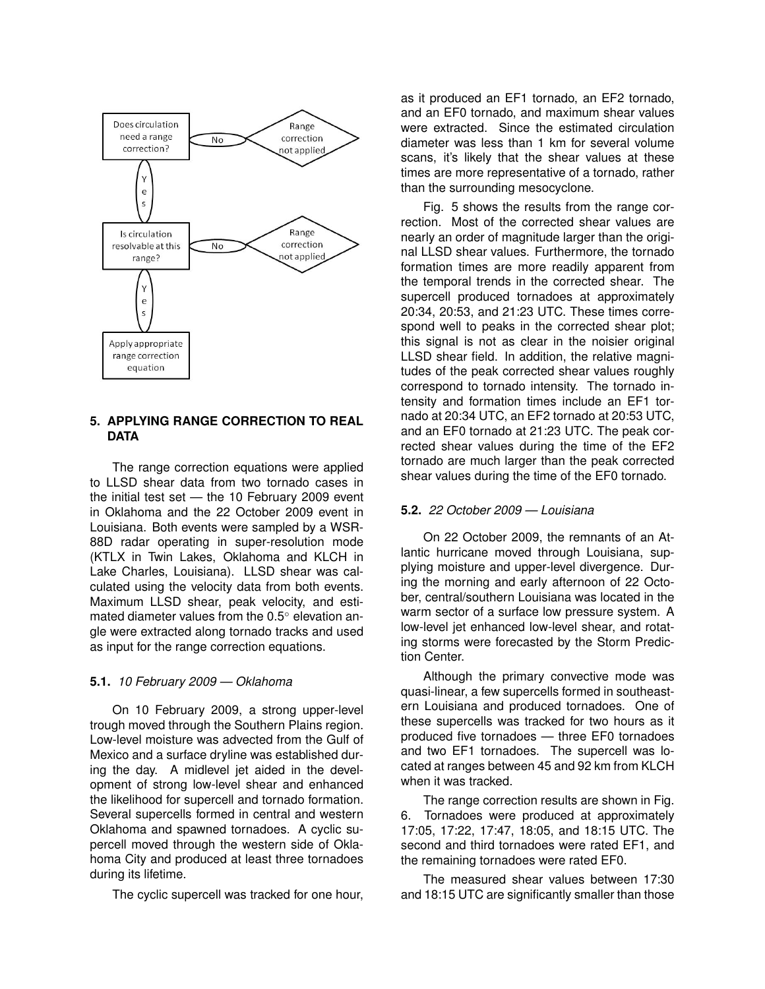

#### **5. APPLYING RANGE CORRECTION TO REAL DATA**

The range correction equations were applied to LLSD shear data from two tornado cases in the initial test set — the 10 February 2009 event in Oklahoma and the 22 October 2009 event in Louisiana. Both events were sampled by a WSR-88D radar operating in super-resolution mode (KTLX in Twin Lakes, Oklahoma and KLCH in Lake Charles, Louisiana). LLSD shear was calculated using the velocity data from both events. Maximum LLSD shear, peak velocity, and estimated diameter values from the 0.5◦ elevation angle were extracted along tornado tracks and used as input for the range correction equations.

# **5.1.** *10 February 2009 — Oklahoma*

On 10 February 2009, a strong upper-level trough moved through the Southern Plains region. Low-level moisture was advected from the Gulf of Mexico and a surface dryline was established during the day. A midlevel jet aided in the development of strong low-level shear and enhanced the likelihood for supercell and tornado formation. Several supercells formed in central and western Oklahoma and spawned tornadoes. A cyclic supercell moved through the western side of Oklahoma City and produced at least three tornadoes during its lifetime.

The cyclic supercell was tracked for one hour,

as it produced an EF1 tornado, an EF2 tornado, and an EF0 tornado, and maximum shear values were extracted. Since the estimated circulation diameter was less than 1 km for several volume scans, it's likely that the shear values at these times are more representative of a tornado, rather than the surrounding mesocyclone.

Fig. 5 shows the results from the range correction. Most of the corrected shear values are nearly an order of magnitude larger than the original LLSD shear values. Furthermore, the tornado formation times are more readily apparent from the temporal trends in the corrected shear. The supercell produced tornadoes at approximately 20:34, 20:53, and 21:23 UTC. These times correspond well to peaks in the corrected shear plot; this signal is not as clear in the noisier original LLSD shear field. In addition, the relative magnitudes of the peak corrected shear values roughly correspond to tornado intensity. The tornado intensity and formation times include an EF1 tornado at 20:34 UTC, an EF2 tornado at 20:53 UTC, and an EF0 tornado at 21:23 UTC. The peak corrected shear values during the time of the EF2 tornado are much larger than the peak corrected shear values during the time of the EF0 tornado.

# **5.2.** *22 October 2009 — Louisiana*

On 22 October 2009, the remnants of an Atlantic hurricane moved through Louisiana, supplying moisture and upper-level divergence. During the morning and early afternoon of 22 October, central/southern Louisiana was located in the warm sector of a surface low pressure system. A low-level jet enhanced low-level shear, and rotating storms were forecasted by the Storm Prediction Center.

Although the primary convective mode was quasi-linear, a few supercells formed in southeastern Louisiana and produced tornadoes. One of these supercells was tracked for two hours as it produced five tornadoes — three EF0 tornadoes and two EF1 tornadoes. The supercell was located at ranges between 45 and 92 km from KLCH when it was tracked.

The range correction results are shown in Fig. 6. Tornadoes were produced at approximately 17:05, 17:22, 17:47, 18:05, and 18:15 UTC. The second and third tornadoes were rated EF1, and the remaining tornadoes were rated EF0.

The measured shear values between 17:30 and 18:15 UTC are significantly smaller than those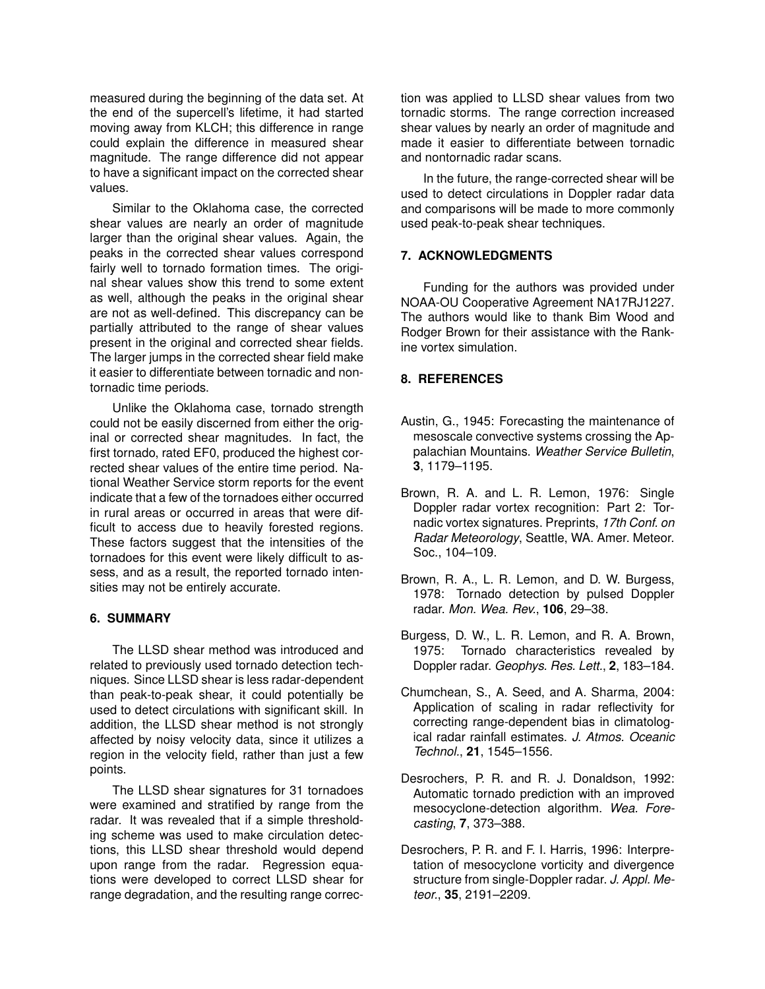measured during the beginning of the data set. At the end of the supercell's lifetime, it had started moving away from KLCH; this difference in range could explain the difference in measured shear magnitude. The range difference did not appear to have a significant impact on the corrected shear values.

Similar to the Oklahoma case, the corrected shear values are nearly an order of magnitude larger than the original shear values. Again, the peaks in the corrected shear values correspond fairly well to tornado formation times. The original shear values show this trend to some extent as well, although the peaks in the original shear are not as well-defined. This discrepancy can be partially attributed to the range of shear values present in the original and corrected shear fields. The larger jumps in the corrected shear field make it easier to differentiate between tornadic and nontornadic time periods.

Unlike the Oklahoma case, tornado strength could not be easily discerned from either the original or corrected shear magnitudes. In fact, the first tornado, rated EF0, produced the highest corrected shear values of the entire time period. National Weather Service storm reports for the event indicate that a few of the tornadoes either occurred in rural areas or occurred in areas that were difficult to access due to heavily forested regions. These factors suggest that the intensities of the tornadoes for this event were likely difficult to assess, and as a result, the reported tornado intensities may not be entirely accurate.

# **6. SUMMARY**

The LLSD shear method was introduced and related to previously used tornado detection techniques. Since LLSD shear is less radar-dependent than peak-to-peak shear, it could potentially be used to detect circulations with significant skill. In addition, the LLSD shear method is not strongly affected by noisy velocity data, since it utilizes a region in the velocity field, rather than just a few points.

The LLSD shear signatures for 31 tornadoes were examined and stratified by range from the radar. It was revealed that if a simple thresholding scheme was used to make circulation detections, this LLSD shear threshold would depend upon range from the radar. Regression equations were developed to correct LLSD shear for range degradation, and the resulting range correction was applied to LLSD shear values from two tornadic storms. The range correction increased shear values by nearly an order of magnitude and made it easier to differentiate between tornadic and nontornadic radar scans.

In the future, the range-corrected shear will be used to detect circulations in Doppler radar data and comparisons will be made to more commonly used peak-to-peak shear techniques.

#### **7. ACKNOWLEDGMENTS**

Funding for the authors was provided under NOAA-OU Cooperative Agreement NA17RJ1227. The authors would like to thank Bim Wood and Rodger Brown for their assistance with the Rankine vortex simulation.

#### **8. REFERENCES**

- Austin, G., 1945: Forecasting the maintenance of mesoscale convective systems crossing the Appalachian Mountains. *Weather Service Bulletin*, **3**, 1179–1195.
- Brown, R. A. and L. R. Lemon, 1976: Single Doppler radar vortex recognition: Part 2: Tornadic vortex signatures. Preprints, *17th Conf. on Radar Meteorology*, Seattle, WA. Amer. Meteor. Soc., 104–109.
- Brown, R. A., L. R. Lemon, and D. W. Burgess, 1978: Tornado detection by pulsed Doppler radar. *Mon. Wea. Rev.*, **106**, 29–38.
- Burgess, D. W., L. R. Lemon, and R. A. Brown, 1975: Tornado characteristics revealed by Doppler radar. *Geophys. Res. Lett.*, **2**, 183–184.
- Chumchean, S., A. Seed, and A. Sharma, 2004: Application of scaling in radar reflectivity for correcting range-dependent bias in climatological radar rainfall estimates. *J. Atmos. Oceanic Technol.*, **21**, 1545–1556.
- Desrochers, P. R. and R. J. Donaldson, 1992: Automatic tornado prediction with an improved mesocyclone-detection algorithm. *Wea. Forecasting*, **7**, 373–388.
- Desrochers, P. R. and F. I. Harris, 1996: Interpretation of mesocyclone vorticity and divergence structure from single-Doppler radar. *J. Appl. Meteor.*, **35**, 2191–2209.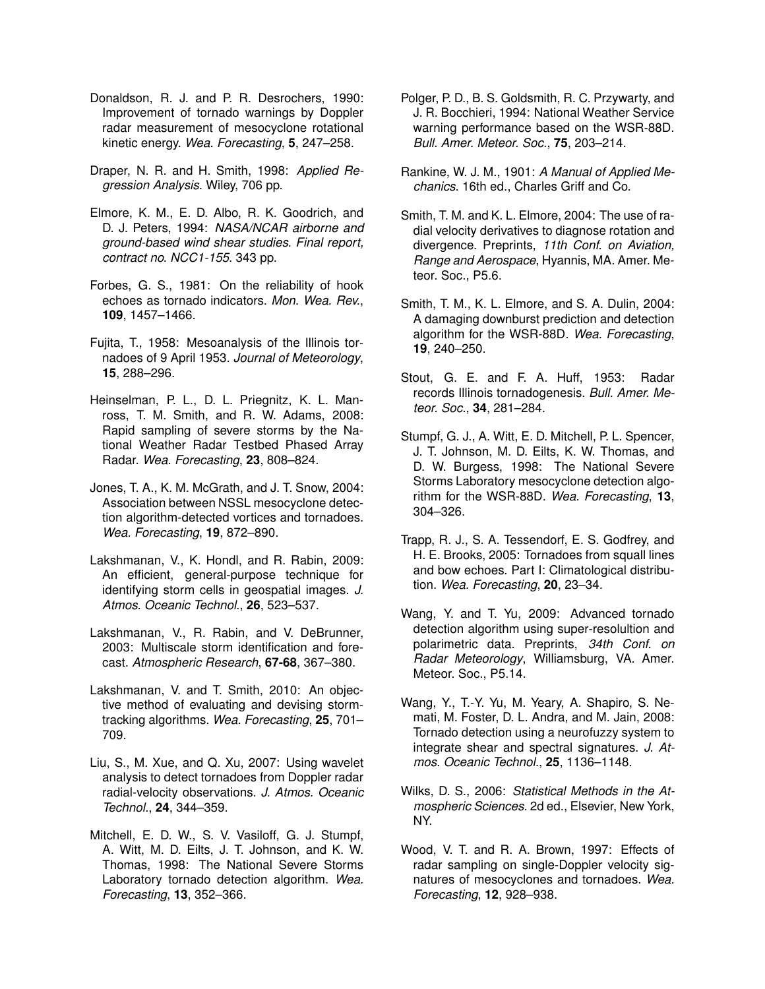- Donaldson, R. J. and P. R. Desrochers, 1990: Improvement of tornado warnings by Doppler radar measurement of mesocyclone rotational kinetic energy. *Wea. Forecasting*, **5**, 247–258.
- Draper, N. R. and H. Smith, 1998: *Applied Regression Analysis*. Wiley, 706 pp.
- Elmore, K. M., E. D. Albo, R. K. Goodrich, and D. J. Peters, 1994: *NASA/NCAR airborne and ground-based wind shear studies. Final report, contract no. NCC1-155*. 343 pp.
- Forbes, G. S., 1981: On the reliability of hook echoes as tornado indicators. *Mon. Wea. Rev.*, **109**, 1457–1466.
- Fujita, T., 1958: Mesoanalysis of the Illinois tornadoes of 9 April 1953. *Journal of Meteorology*, **15**, 288–296.
- Heinselman, P. L., D. L. Priegnitz, K. L. Manross, T. M. Smith, and R. W. Adams, 2008: Rapid sampling of severe storms by the National Weather Radar Testbed Phased Array Radar. *Wea. Forecasting*, **23**, 808–824.
- Jones, T. A., K. M. McGrath, and J. T. Snow, 2004: Association between NSSL mesocyclone detection algorithm-detected vortices and tornadoes. *Wea. Forecasting*, **19**, 872–890.
- Lakshmanan, V., K. Hondl, and R. Rabin, 2009: An efficient, general-purpose technique for identifying storm cells in geospatial images. *J. Atmos. Oceanic Technol.*, **26**, 523–537.
- Lakshmanan, V., R. Rabin, and V. DeBrunner, 2003: Multiscale storm identification and forecast. *Atmospheric Research*, **67-68**, 367–380.
- Lakshmanan, V. and T. Smith, 2010: An objective method of evaluating and devising stormtracking algorithms. *Wea. Forecasting*, **25**, 701– 709.
- Liu, S., M. Xue, and Q. Xu, 2007: Using wavelet analysis to detect tornadoes from Doppler radar radial-velocity observations. *J. Atmos. Oceanic Technol.*, **24**, 344–359.
- Mitchell, E. D. W., S. V. Vasiloff, G. J. Stumpf, A. Witt, M. D. Eilts, J. T. Johnson, and K. W. Thomas, 1998: The National Severe Storms Laboratory tornado detection algorithm. *Wea. Forecasting*, **13**, 352–366.
- Polger, P. D., B. S. Goldsmith, R. C. Przywarty, and J. R. Bocchieri, 1994: National Weather Service warning performance based on the WSR-88D. *Bull. Amer. Meteor. Soc.*, **75**, 203–214.
- Rankine, W. J. M., 1901: *A Manual of Applied Mechanics*. 16th ed., Charles Griff and Co.
- Smith, T. M. and K. L. Elmore, 2004: The use of radial velocity derivatives to diagnose rotation and divergence. Preprints, *11th Conf. on Aviation, Range and Aerospace*, Hyannis, MA. Amer. Meteor. Soc., P5.6.
- Smith, T. M., K. L. Elmore, and S. A. Dulin, 2004: A damaging downburst prediction and detection algorithm for the WSR-88D. *Wea. Forecasting*, **19**, 240–250.
- Stout, G. E. and F. A. Huff, 1953: Radar records Illinois tornadogenesis. *Bull. Amer. Meteor. Soc.*, **34**, 281–284.
- Stumpf, G. J., A. Witt, E. D. Mitchell, P. L. Spencer, J. T. Johnson, M. D. Eilts, K. W. Thomas, and D. W. Burgess, 1998: The National Severe Storms Laboratory mesocyclone detection algorithm for the WSR-88D. *Wea. Forecasting*, **13**, 304–326.
- Trapp, R. J., S. A. Tessendorf, E. S. Godfrey, and H. E. Brooks, 2005: Tornadoes from squall lines and bow echoes. Part I: Climatological distribution. *Wea. Forecasting*, **20**, 23–34.
- Wang, Y. and T. Yu, 2009: Advanced tornado detection algorithm using super-resolultion and polarimetric data. Preprints, *34th Conf. on Radar Meteorology*, Williamsburg, VA. Amer. Meteor. Soc., P5.14.
- Wang, Y., T.-Y. Yu, M. Yeary, A. Shapiro, S. Nemati, M. Foster, D. L. Andra, and M. Jain, 2008: Tornado detection using a neurofuzzy system to integrate shear and spectral signatures. *J. Atmos. Oceanic Technol.*, **25**, 1136–1148.
- Wilks, D. S., 2006: *Statistical Methods in the Atmospheric Sciences*. 2d ed., Elsevier, New York, NY.
- Wood, V. T. and R. A. Brown, 1997: Effects of radar sampling on single-Doppler velocity signatures of mesocyclones and tornadoes. *Wea. Forecasting*, **12**, 928–938.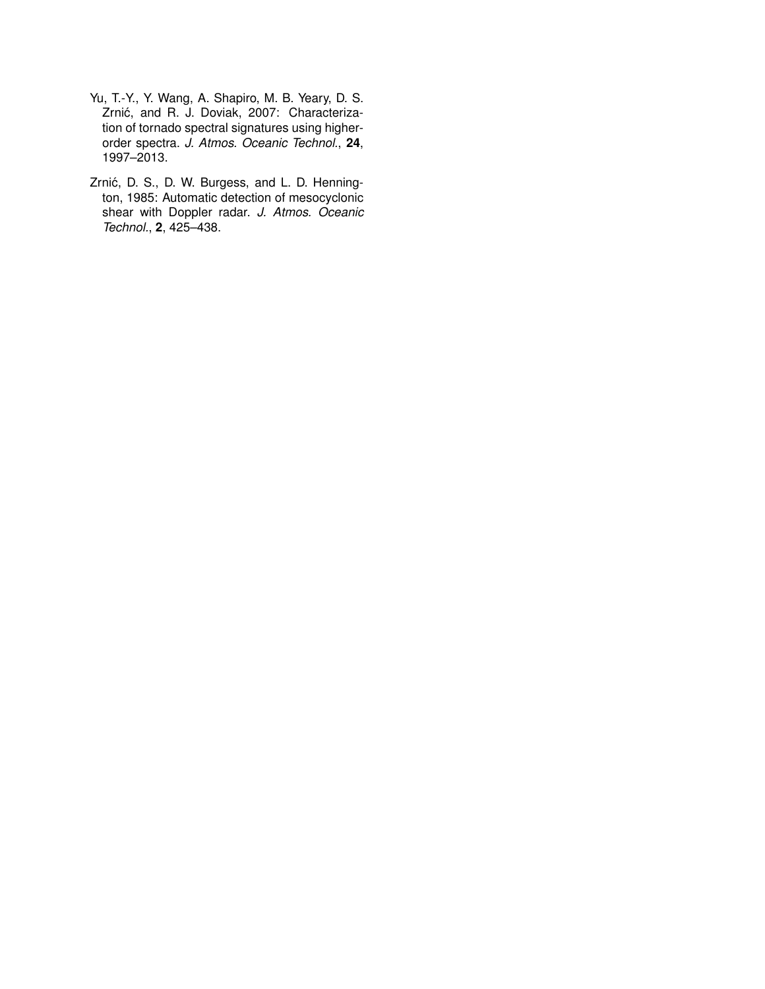- Yu, T.-Y., Y. Wang, A. Shapiro, M. B. Yeary, D. S. Zrnić, and R. J. Doviak, 2007: Characterization of tornado spectral signatures using higherorder spectra. *J. Atmos. Oceanic Technol.*, **24**, 1997–2013.
- Zrnić, D. S., D. W. Burgess, and L. D. Hennington, 1985: Automatic detection of mesocyclonic shear with Doppler radar. *J. Atmos. Oceanic Technol.*, **2**, 425–438.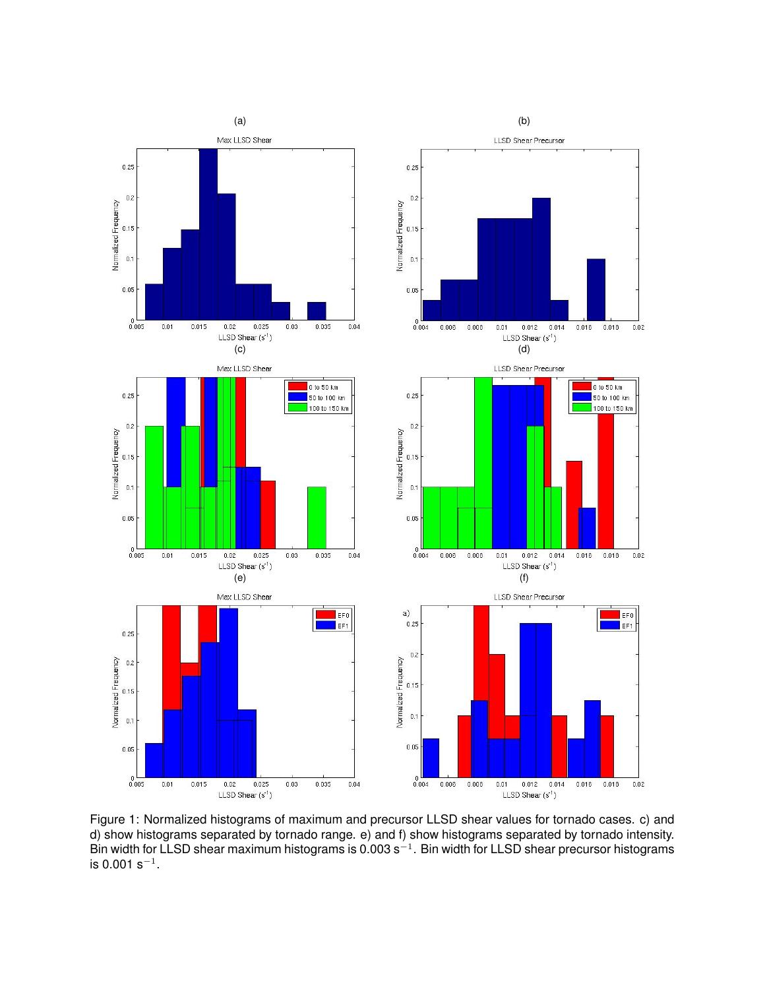

Figure 1: Normalized histograms of maximum and precursor LLSD shear values for tornado cases. c) and d) show histograms separated by tornado range. e) and f) show histograms separated by tornado intensity. Bin width for LLSD shear maximum histograms is 0.003 s<sup>-1</sup>. Bin width for LLSD shear precursor histograms is 0.001 s $^{-1}$ .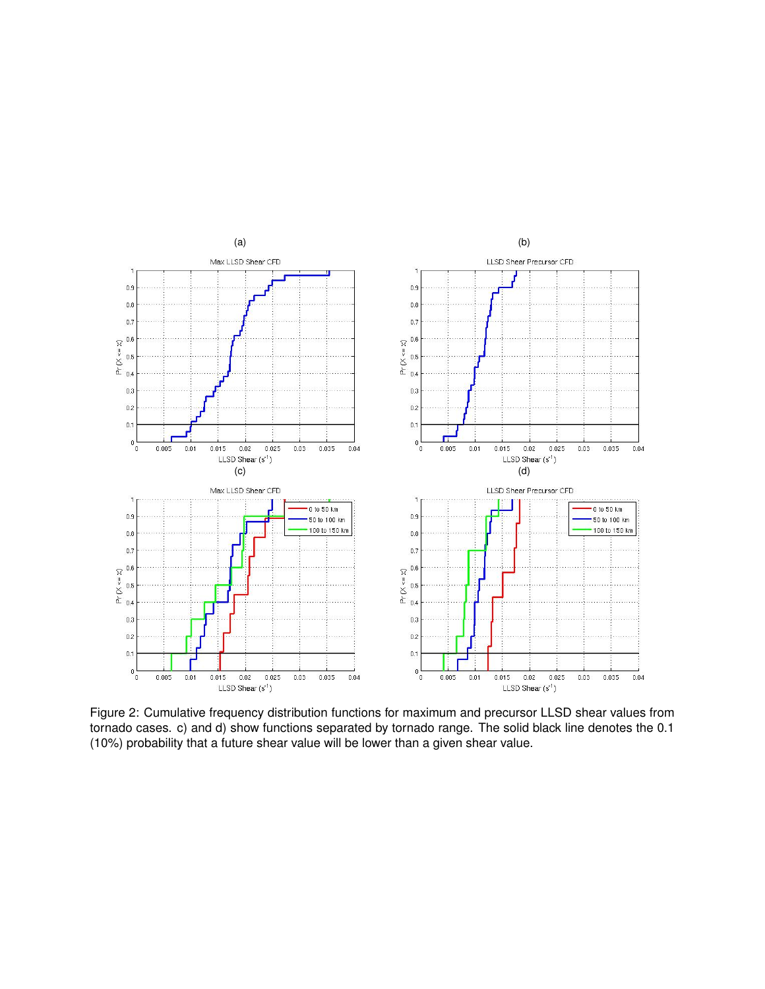

Figure 2: Cumulative frequency distribution functions for maximum and precursor LLSD shear values from tornado cases. c) and d) show functions separated by tornado range. The solid black line denotes the 0.1 (10%) probability that a future shear value will be lower than a given shear value.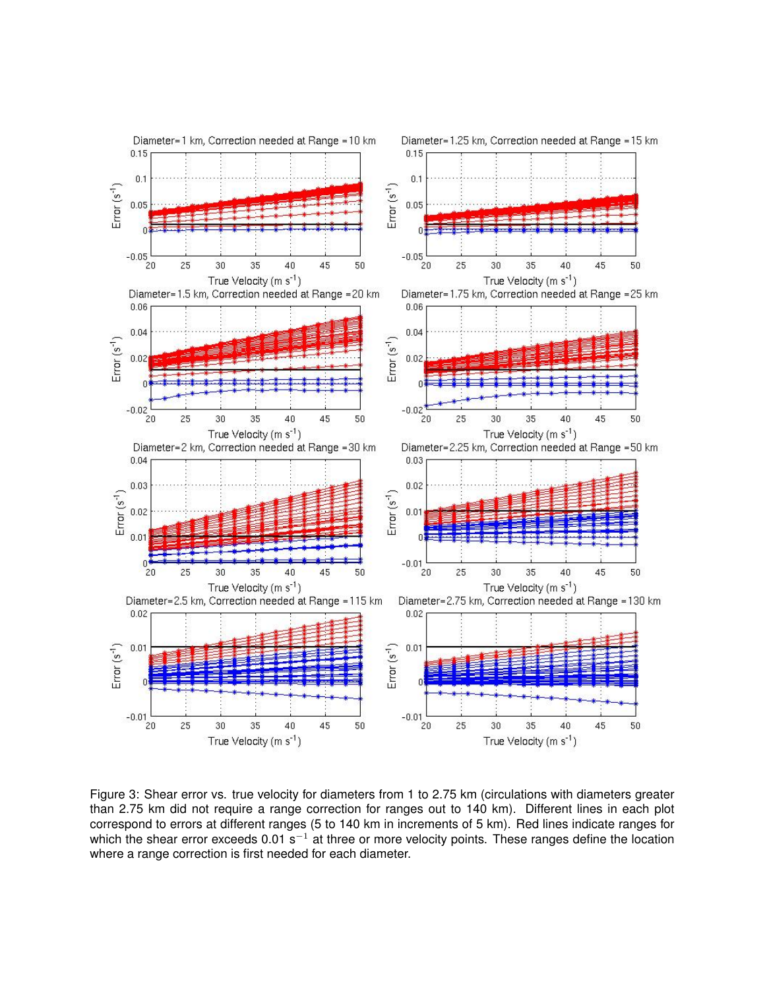

Figure 3: Shear error vs. true velocity for diameters from 1 to 2.75 km (circulations with diameters greater than 2.75 km did not require a range correction for ranges out to 140 km). Different lines in each plot correspond to errors at different ranges (5 to 140 km in increments of 5 km). Red lines indicate ranges for which the shear error exceeds  $0.01$  s<sup>-1</sup> at three or more velocity points. These ranges define the location where a range correction is first needed for each diameter.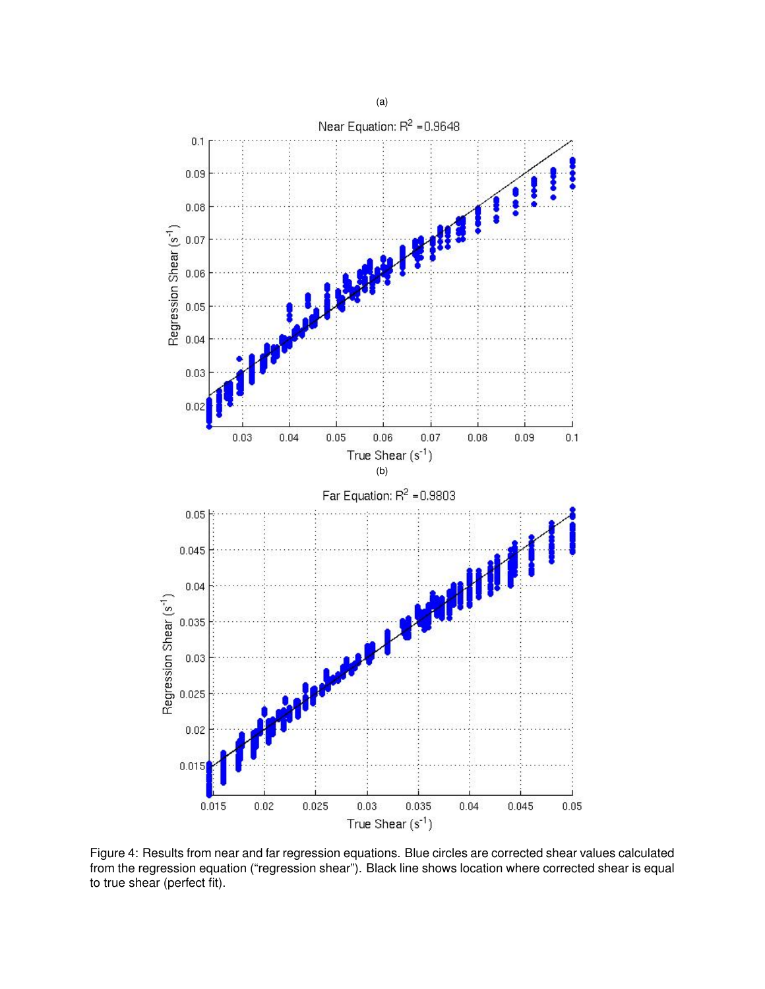

Figure 4: Results from near and far regression equations. Blue circles are corrected shear values calculated from the regression equation ("regression shear"). Black line shows location where corrected shear is equal to true shear (perfect fit).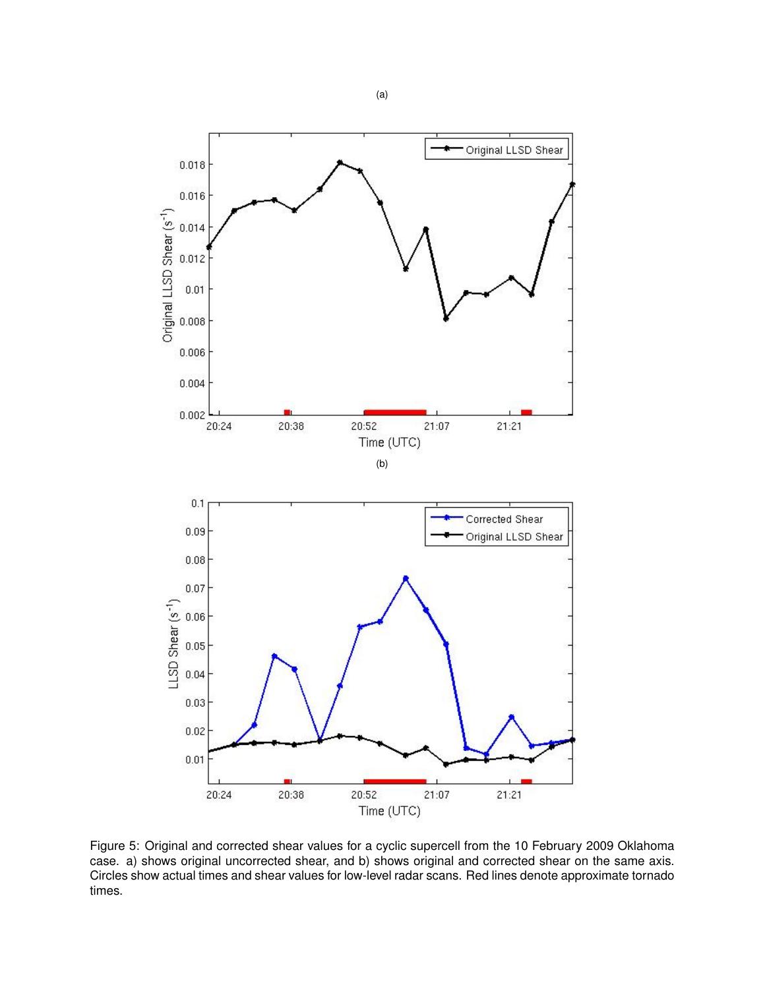

Figure 5: Original and corrected shear values for a cyclic supercell from the 10 February 2009 Oklahoma case. a) shows original uncorrected shear, and b) shows original and corrected shear on the same axis. Circles show actual times and shear values for low-level radar scans. Red lines denote approximate tornado times.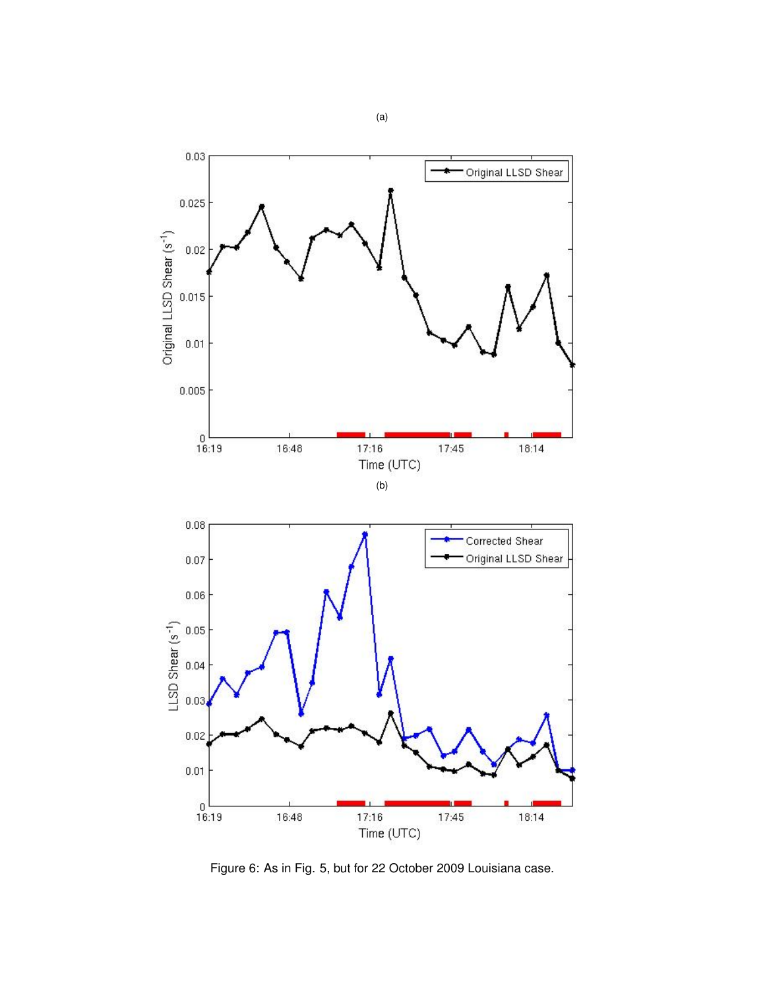

Figure 6: As in Fig. 5, but for 22 October 2009 Louisiana case.

(a)